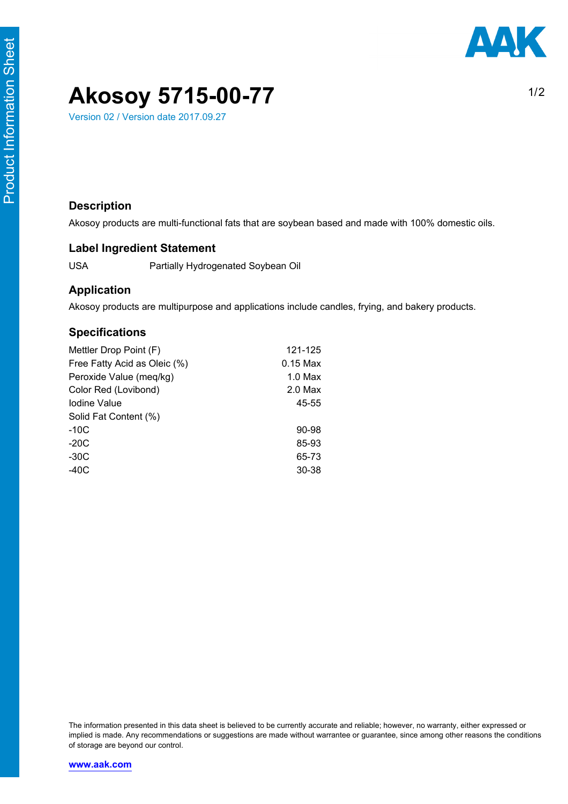$1/2$ 

# **Akosoy 5715-00-77**

Version 02 / Version date 2017.09.27

### **Description**

Akosoy products are multi-functional fats that are soybean based and made with 100% domestic oils.

### **Label Ingredient Statement**

USA Partially Hydrogenated Soybean Oil

#### **Application**

Akosoy products are multipurpose and applications include candles, frying, and bakery products.

### **Specifications**

| Mettler Drop Point (F)       | 121-125    |
|------------------------------|------------|
| Free Fatty Acid as Oleic (%) | $0.15$ Max |
| Peroxide Value (meq/kg)      | $1.0$ Max  |
| Color Red (Lovibond)         | $2.0$ Max  |
| Iodine Value                 | 45-55      |
| Solid Fat Content (%)        |            |
| $-10C$                       | 90-98      |
| $-20C$                       | 85-93      |
| -30C                         | 65-73      |
| $-40C$                       | 30-38      |
|                              |            |

The information presented in this data sheet is believed to be currently accurate and reliable; however, no warranty, either expressed or implied is made. Any recommendations or suggestions are made without warrantee or guarantee, since among other reasons the conditions of storage are beyond our control.